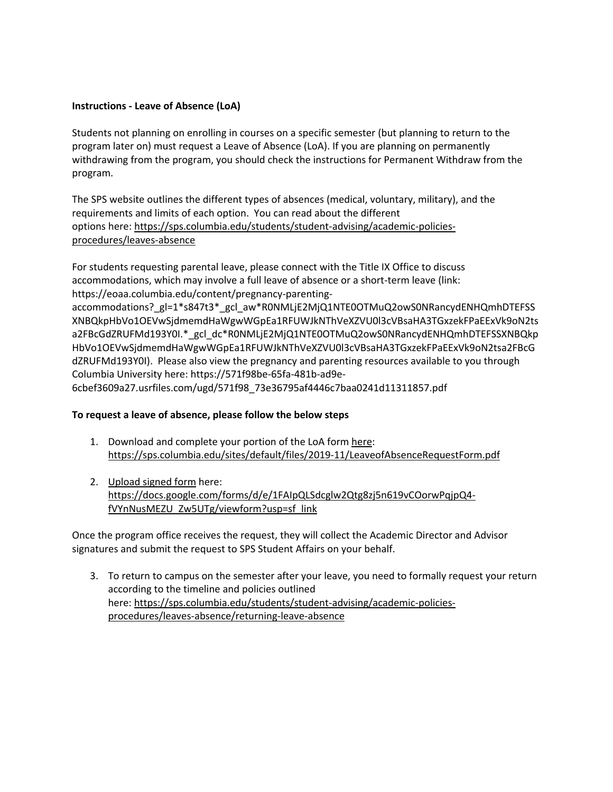## **Instructions - Leave of Absence (LoA)**

Students not planning on enrolling in courses on a specific semester (but planning to return to the program later on) must request a Leave of Absence (LoA). If you are planning on permanently withdrawing from the program, you should check the instructions for Permanent Withdraw from the program.

The SPS website outlines the different types of absences (medical, voluntary, military), and the requirements and limits of each option. You can read about the different options here: https://sps.columbia.edu/students/student-advising/academic-policiesprocedures/leaves-absence

For students requesting parental leave, please connect with the Title IX Office to discuss accommodations, which may involve a full leave of absence or a short-term leave (link: https://eoaa.columbia.edu/content/pregnancy-parenting-

accommodations?\_gl=1\*s847t3\*\_gcl\_aw\*R0NMLjE2MjQ1NTE0OTMuQ2owS0NRancydENHQmhDTEFSS XNBQkpHbVo1OEVwSjdmemdHaWgwWGpEa1RFUWJkNThVeXZVU0l3cVBsaHA3TGxzekFPaEExVk9oN2ts a2FBcGdZRUFMd193Y0I.\*\_gcl\_dc\*R0NMLjE2MjQ1NTE0OTMuQ2owS0NRancydENHQmhDTEFSSXNBQkp HbVo1OEVwSjdmemdHaWgwWGpEa1RFUWJkNThVeXZVU0l3cVBsaHA3TGxzekFPaEExVk9oN2tsa2FBcG dZRUFMd193Y0I). Please also view the pregnancy and parenting resources available to you through Columbia University here: https://571f98be-65fa-481b-ad9e-

6cbef3609a27.usrfiles.com/ugd/571f98\_73e36795af4446c7baa0241d11311857.pdf

## **To request a leave of absence, please follow the below steps**

- 1. Download and complete your portion of the LoA form here: https://sps.columbia.edu/sites/default/files/2019-11/LeaveofAbsenceRequestForm.pdf
- 2. Upload signed form here: https://docs.google.com/forms/d/e/1FAIpQLSdcglw2Qtg8zj5n619vCOorwPqjpQ4 fVYnNusMEZU\_Zw5UTg/viewform?usp=sf\_link

Once the program office receives the request, they will collect the Academic Director and Advisor signatures and submit the request to SPS Student Affairs on your behalf.

3. To return to campus on the semester after your leave, you need to formally request your return according to the timeline and policies outlined here: https://sps.columbia.edu/students/student-advising/academic-policiesprocedures/leaves-absence/returning-leave-absence